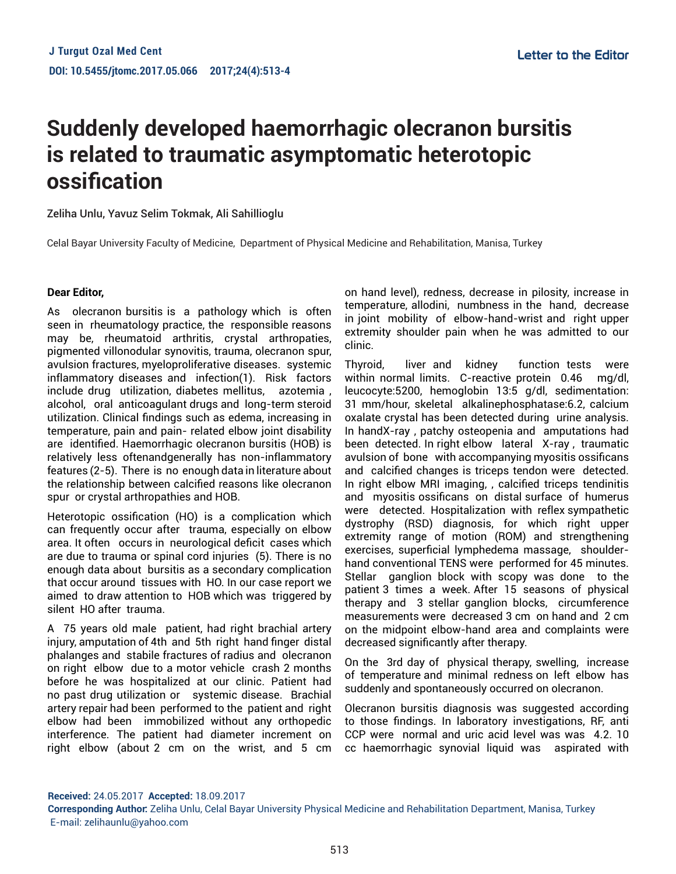## **Suddenly developed haemorrhagic olecranon bursitis is related to traumatic asymptomatic heterotopic ossification**

Zeliha Unlu, Yavuz Selim Tokmak, Ali Sahillioglu

Celal Bayar University Faculty of Medicine, Department of Physical Medicine and Rehabilitation, Manisa, Turkey

## **Dear Editor,**

As olecranon bursitis is a pathology which is often seen in rheumatology practice, the responsible reasons may be, rheumatoid arthritis, crystal arthropaties, pigmented villonodular synovitis, trauma, olecranon spur, avulsion fractures, myeloproliferative diseases. systemic inflammatory diseases and infection(1). Risk factors include drug utilization, diabetes mellitus, azotemia , alcohol, oral anticoagulant drugs and long-term steroid utilization. Clinical findings such as edema, increasing in temperature, pain and pain- related elbow joint disability are identified. Haemorrhagic olecranon bursitis (HOB) is relatively less oftenandgenerally has non-inflammatory features (2-5). There is no enough data in literature about the relationship between calcified reasons like olecranon spur or crystal arthropathies and HOB.

Heterotopic ossification (HO) is a complication which can frequently occur after trauma, especially on elbow area. It often occurs in neurological deficit cases which are due to trauma or spinal cord injuries (5). There is no enough data about bursitis as a secondary complication that occur around tissues with HO. In our case report we aimed to draw attention to HOB which was triggered by silent HO after trauma.

A 75 years old male patient, had right brachial artery injury, amputation of 4th and 5th right hand finger distal phalanges and stabile fractures of radius and olecranon on right elbow due to a motor vehicle crash 2 months before he was hospitalized at our clinic. Patient had no past drug utilization or systemic disease. Brachial artery repair had been performed to the patient and right elbow had been immobilized without any orthopedic interference. The patient had diameter increment on right elbow (about 2 cm on the wrist, and 5 cm

on hand level), redness, decrease in pilosity, increase in temperature, allodini, numbness in the hand, decrease in joint mobility of elbow-hand-wrist and right upper extremity shoulder pain when he was admitted to our clinic.

Thyroid, liver and kidney function tests were within normal limits. C-reactive protein 0.46 mg/dl, leucocyte:5200, hemoglobin 13:5 g/dl, sedimentation: 31 mm/hour, skeletal alkalinephosphatase:6.2, calcium oxalate crystal has been detected during urine analysis. In handX-ray , patchy osteopenia and amputations had been detected. In right elbow lateral X-ray , traumatic avulsion of bone with accompanying myositis ossificans and calcified changes is triceps tendon were detected. In right elbow MRI imaging, , calcified triceps tendinitis and myositis ossificans on distal surface of humerus were detected. Hospitalization with reflex sympathetic dystrophy (RSD) diagnosis, for which right upper extremity range of motion (ROM) and strengthening exercises, superficial lymphedema massage, shoulderhand conventional TENS were performed for 45 minutes. Stellar ganglion block with scopy was done to the patient 3 times a week. After 15 seasons of physical therapy and 3 stellar ganglion blocks, circumference measurements were decreased 3 cm on hand and 2 cm on the midpoint elbow-hand area and complaints were decreased significantly after therapy.

On the 3rd day of physical therapy, swelling, increase of temperature and minimal redness on left elbow has suddenly and spontaneously occurred on olecranon.

Olecranon bursitis diagnosis was suggested according to those findings. In laboratory investigations, RF, anti CCP were normal and uric acid level was was 4.2. 10 cc haemorrhagic synovial liquid was aspirated with

**Received:** 24.05.2017 **Accepted:** 18.09.2017

**Corresponding Author:** Zeliha Unlu, Celal Bayar University Physical Medicine and Rehabilitation Department, Manisa, Turkey E-mail: zelihaunlu@yahoo.com